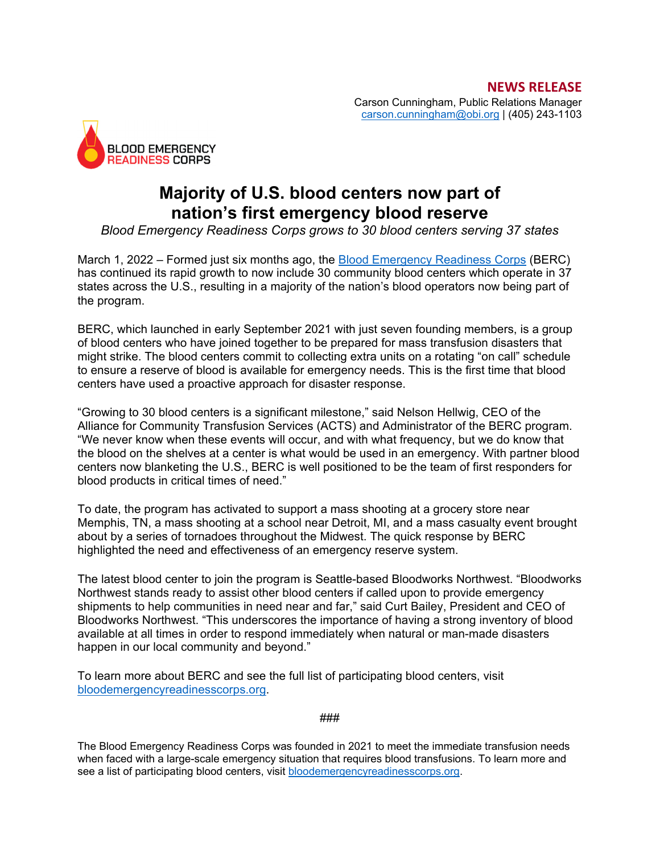

## **Majority of U.S. blood centers now part of nation's first emergency blood reserve**

*Blood Emergency Readiness Corps grows to 30 blood centers serving 37 states*

March 1, 2022 – Formed just six months ago, the Blood Emergency Readiness Corps (BERC) has continued its rapid growth to now include 30 community blood centers which operate in 37 states across the U.S., resulting in a majority of the nation's blood operators now being part of the program.

BERC, which launched in early September 2021 with just seven founding members, is a group of blood centers who have joined together to be prepared for mass transfusion disasters that might strike. The blood centers commit to collecting extra units on a rotating "on call" schedule to ensure a reserve of blood is available for emergency needs. This is the first time that blood centers have used a proactive approach for disaster response.

"Growing to 30 blood centers is a significant milestone," said Nelson Hellwig, CEO of the Alliance for Community Transfusion Services (ACTS) and Administrator of the BERC program. "We never know when these events will occur, and with what frequency, but we do know that the blood on the shelves at a center is what would be used in an emergency. With partner blood centers now blanketing the U.S., BERC is well positioned to be the team of first responders for blood products in critical times of need."

To date, the program has activated to support a mass shooting at a grocery store near Memphis, TN, a mass shooting at a school near Detroit, MI, and a mass casualty event brought about by a series of tornadoes throughout the Midwest. The quick response by BERC highlighted the need and effectiveness of an emergency reserve system.

The latest blood center to join the program is Seattle-based Bloodworks Northwest. "Bloodworks Northwest stands ready to assist other blood centers if called upon to provide emergency shipments to help communities in need near and far," said Curt Bailey, President and CEO of Bloodworks Northwest. "This underscores the importance of having a strong inventory of blood available at all times in order to respond immediately when natural or man-made disasters happen in our local community and beyond."

To learn more about BERC and see the full list of participating blood centers, visit bloodemergencyreadinesscorps.org.

###

The Blood Emergency Readiness Corps was founded in 2021 to meet the immediate transfusion needs when faced with a large-scale emergency situation that requires blood transfusions. To learn more and see a list of participating blood centers, visit bloodemergencyreadinesscorps.org.